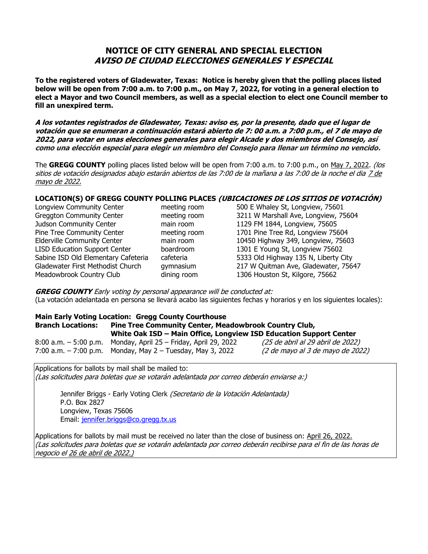## **NOTICE OF CITY GENERAL AND SPECIAL ELECTION AVISO DE CIUDAD ELECCIONES GENERALES Y ESPECIAL**

**To the registered voters of Gladewater, Texas: Notice is hereby given that the polling places listed below will be open from 7:00 a.m. to 7:00 p.m., on May 7, 2022, for voting in a general election to elect a Mayor and two Council members, as well as a special election to elect one Council member to fill an unexpired term.**

**A los votantes registrados de Gladewater, Texas: aviso es, por la presente, dado que el lugar de votación que se enumeran a continuación estará abierto de 7: 00 a.m. a 7:00 p.m., el 7 de mayo de 2022, para votar en unas elecciones generales para elegir Alcade y dos miembros del Consejo, así como una elección especial para elegir un miembro del Consejo para llenar un término no vencido.**

The GREGG COUNTY polling places listed below will be open from 7:00 a.m. to 7:00 p.m., on May 7, 2022. (los sitios de votación designados abajo estarán abiertos de las 7:00 de la mañana a las 7:00 de la noche el dia 7 de mayo de 2022.

## **LOCATION(S) OF GREGG COUNTY POLLING PLACES (UBICACIONES DE LOS SITIOS DE VOTACIÓN)**

| Longview Community Center            | meeting room | 500 E Whaley St, Longview, 75601     |
|--------------------------------------|--------------|--------------------------------------|
| <b>Greggton Community Center</b>     | meeting room | 3211 W Marshall Ave, Longview, 75604 |
| Judson Community Center              | main room    | 1129 FM 1844, Longview, 75605        |
| Pine Tree Community Center           | meeting room | 1701 Pine Tree Rd, Longview 75604    |
| <b>Elderville Community Center</b>   | main room    | 10450 Highway 349, Longview, 75603   |
| <b>LISD Education Support Center</b> | boardroom    | 1301 E Young St, Longview 75602      |
| Sabine ISD Old Elementary Cafeteria  | cafeteria    | 5333 Old Highway 135 N, Liberty City |
| Gladewater First Methodist Church    | qymnasium    | 217 W Quitman Ave, Gladewater, 75647 |
| Meadowbrook Country Club             | dining room  | 1306 Houston St, Kilgore, 75662      |

**GREGG COUNTY** Early voting by personal appearance will be conducted at: (La votación adelantada en persona se llevará acabo las siguientes fechas y horarios y en los siguientes locales):

**Main Early Voting Location: Gregg County Courthouse Branch Locations: Pine Tree Community Center, Meadowbrook Country Club, White Oak ISD – Main Office, Longview ISD Education Support Center** 8:00 a.m. - 5:00 p.m. Monday, April 25 - Friday, April 29, 2022 (25 de abril al 29 abril de 2022) 7:00 a.m.  $-$  7:00 p.m. Monday, May 2 – Tuesday, May 3, 2022  $(2 \text{ de } mayo \text{ al } 3 \text{ de } mayo \text{ de } 2022)$ 

Applications for ballots by mail shall be mailed to: (Las solicitudes para boletas que se votarán adelantada por correo deberán enviarse a:)

Jennifer Briggs - Early Voting Clerk (Secretario de la Votación Adelantada) P.O. Box 2827 Longview, Texas 75606 Email: [jennifer.briggs@co.gregg.tx.us](mailto:jennifer.briggs@co.gregg.tx.us)

Applications for ballots by mail must be received no later than the close of business on: April 26, 2022. (Las solicitudes para boletas que se votarán adelantada por correo deberán recibirse para el fin de las horas de negocio el 26 de abril de 2022.)